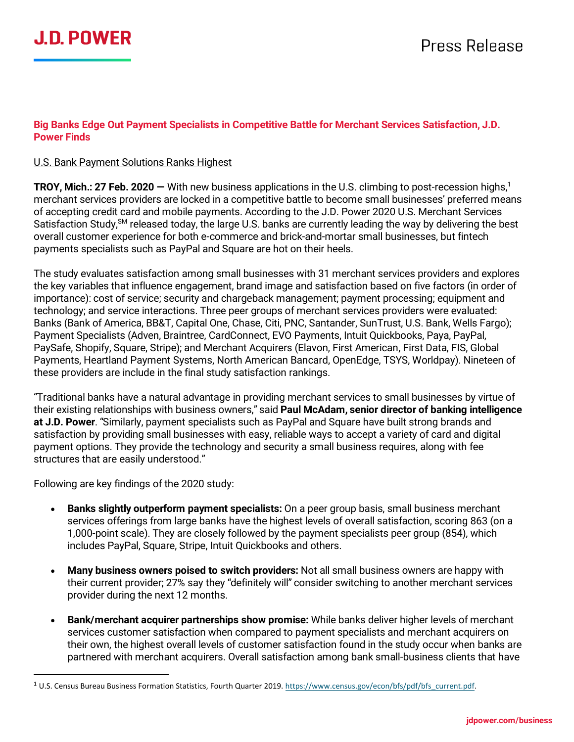

#### Big Banks Edge Out Payment Specialists in Competitive Battle for Merchant Services Satisfaction, J.D. Power Finds

### U.S. Bank Payment Solutions Ranks Highest

TROY, Mich.: 27 Feb. 2020 – With new business applications in the U.S. climbing to post-recession highs,<sup>1</sup> merchant services providers are locked in a competitive battle to become small businesses' preferred means of accepting credit card and mobile payments. According to the J.D. Power 2020 U.S. Merchant Services Satisfaction Study,<sup>SM</sup> released today, the large U.S. banks are currently leading the way by delivering the best overall customer experience for both e-commerce and brick-and-mortar small businesses, but fintech payments specialists such as PayPal and Square are hot on their heels.

The study evaluates satisfaction among small businesses with 31 merchant services providers and explores the key variables that influence engagement, brand image and satisfaction based on five factors (in order of importance): cost of service; security and chargeback management; payment processing; equipment and technology; and service interactions. Three peer groups of merchant services providers were evaluated: Banks (Bank of America, BB&T, Capital One, Chase, Citi, PNC, Santander, SunTrust, U.S. Bank, Wells Fargo); Payment Specialists (Adven, Braintree, CardConnect, EVO Payments, Intuit Quickbooks, Paya, PayPal, PaySafe, Shopify, Square, Stripe); and Merchant Acquirers (Elavon, First American, First Data, FIS, Global Payments, Heartland Payment Systems, North American Bancard, OpenEdge, TSYS, Worldpay). Nineteen of these providers are include in the final study satisfaction rankings.

"Traditional banks have a natural advantage in providing merchant services to small businesses by virtue of their existing relationships with business owners," said Paul McAdam, senior director of banking intelligence at J.D. Power. "Similarly, payment specialists such as PayPal and Square have built strong brands and satisfaction by providing small businesses with easy, reliable ways to accept a variety of card and digital payment options. They provide the technology and security a small business requires, along with fee structures that are easily understood."

Following are key findings of the 2020 study:

- Banks slightly outperform payment specialists: On a peer group basis, small business merchant services offerings from large banks have the highest levels of overall satisfaction, scoring 863 (on a 1,000-point scale). They are closely followed by the payment specialists peer group (854), which includes PayPal, Square, Stripe, Intuit Quickbooks and others.
- Many business owners poised to switch providers: Not all small business owners are happy with their current provider; 27% say they "definitely will" consider switching to another merchant services provider during the next 12 months.
- **Bank/merchant acquirer partnerships show promise:** While banks deliver higher levels of merchant services customer satisfaction when compared to payment specialists and merchant acquirers on their own, the highest overall levels of customer satisfaction found in the study occur when banks are partnered with merchant acquirers. Overall satisfaction among bank small-business clients that have

<sup>&</sup>lt;sup>1</sup> U.S. Census Bureau Business Formation Statistics, Fourth Quarter 2019[. https://www.census.gov/econ/bfs/pdf/bfs\\_current.pdf.](https://www.census.gov/econ/bfs/pdf/bfs_current.pdf)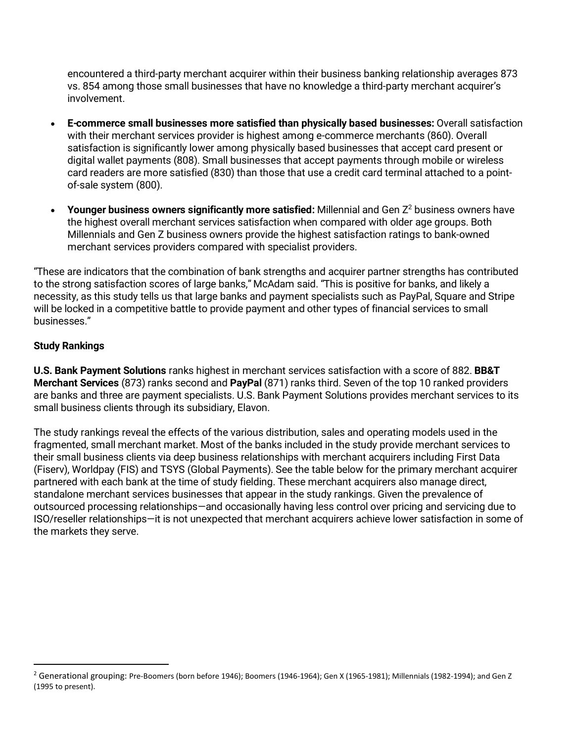encountered a third-party merchant acquirer within their business banking relationship averages 873 vs. 854 among those small businesses that have no knowledge a third-party merchant acquirer's involvement.

- E-commerce small businesses more satisfied than physically based businesses: Overall satisfaction with their merchant services provider is highest among e-commerce merchants (860). Overall satisfaction is significantly lower among physically based businesses that accept card present or digital wallet payments (808). Small businesses that accept payments through mobile or wireless card readers are more satisfied (830) than those that use a credit card terminal attached to a pointof-sale system (800).
- Younger business owners significantly more satisfied: Millennial and Gen Z<sup>2</sup> business owners have the highest overall merchant services satisfaction when compared with older age groups. Both Millennials and Gen Z business owners provide the highest satisfaction ratings to bank-owned merchant services providers compared with specialist providers.

"These are indicators that the combination of bank strengths and acquirer partner strengths has contributed to the strong satisfaction scores of large banks," McAdam said. "This is positive for banks, and likely a necessity, as this study tells us that large banks and payment specialists such as PayPal, Square and Stripe will be locked in a competitive battle to provide payment and other types of financial services to small businesses."

## Study Rankings

U.S. Bank Payment Solutions ranks highest in merchant services satisfaction with a score of 882. BB&T Merchant Services (873) ranks second and PayPal (871) ranks third. Seven of the top 10 ranked providers are banks and three are payment specialists. U.S. Bank Payment Solutions provides merchant services to its small business clients through its subsidiary, Elavon.

The study rankings reveal the effects of the various distribution, sales and operating models used in the fragmented, small merchant market. Most of the banks included in the study provide merchant services to their small business clients via deep business relationships with merchant acquirers including First Data (Fiserv), Worldpay (FIS) and TSYS (Global Payments). See the table below for the primary merchant acquirer partnered with each bank at the time of study fielding. These merchant acquirers also manage direct, standalone merchant services businesses that appear in the study rankings. Given the prevalence of outsourced processing relationships—and occasionally having less control over pricing and servicing due to ISO/reseller relationships—it is not unexpected that merchant acquirers achieve lower satisfaction in some of the markets they serve.

 $^2$  Generational grouping: Pre-Boomers (born before 1946); Boomers (1946-1964); Gen X (1965-1981); Millennials (1982-1994); and Gen Z (1995 to present).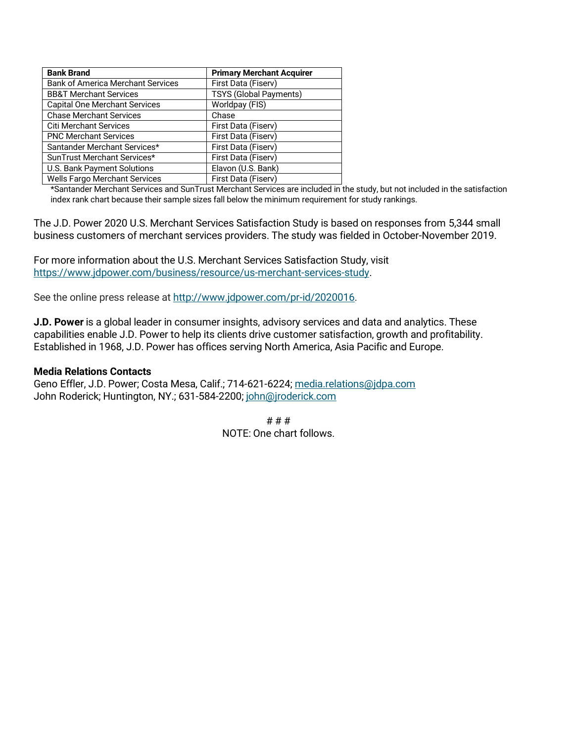| <b>Bank Brand</b>                        | <b>Primary Merchant Acquirer</b> |
|------------------------------------------|----------------------------------|
| <b>Bank of America Merchant Services</b> | First Data (Fiserv)              |
| <b>BB&amp;T Merchant Services</b>        | <b>TSYS (Global Payments)</b>    |
| <b>Capital One Merchant Services</b>     | Worldpay (FIS)                   |
| <b>Chase Merchant Services</b>           | Chase                            |
| <b>Citi Merchant Services</b>            | First Data (Fiserv)              |
| <b>PNC Merchant Services</b>             | First Data (Fiserv)              |
| Santander Merchant Services*             | First Data (Fiserv)              |
| SunTrust Merchant Services*              | First Data (Fiserv)              |
| U.S. Bank Payment Solutions              | Elavon (U.S. Bank)               |
| <b>Wells Fargo Merchant Services</b>     | First Data (Fiserv)              |

\*Santander Merchant Services and SunTrust Merchant Services are included in the study, but not included in the satisfaction index rank chart because their sample sizes fall below the minimum requirement for study rankings.

The J.D. Power 2020 U.S. Merchant Services Satisfaction Study is based on responses from 5,344 small business customers of merchant services providers. The study was fielded in October-November 2019.

For more information about the U.S. Merchant Services Satisfaction Study, visit [https://www.jdpower.com/business/resource/us-merchant-services-study.](https://www.jdpower.com/business/resource/us-merchant-services-study)

See the online press release at [http://www.jdpower.com/pr-id/2020016.](http://www.jdpower.com/pr-id/2020016)

J.D. Power is a global leader in consumer insights, advisory services and data and analytics. These capabilities enable J.D. Power to help its clients drive customer satisfaction, growth and profitability. Established in 1968, J.D. Power has offices serving North America, Asia Pacific and Europe.

#### Media Relations Contacts

Geno Effler, J.D. Power; Costa Mesa, Calif.; 714-621-6224; [media.relations@jdpa.com](mailto:media.relations@jdpa.com) John Roderick; Huntington, NY.; 631-584-2200; [john@jroderick.com](mailto:john@jroderick.com)

> # # # NOTE: One chart follows.